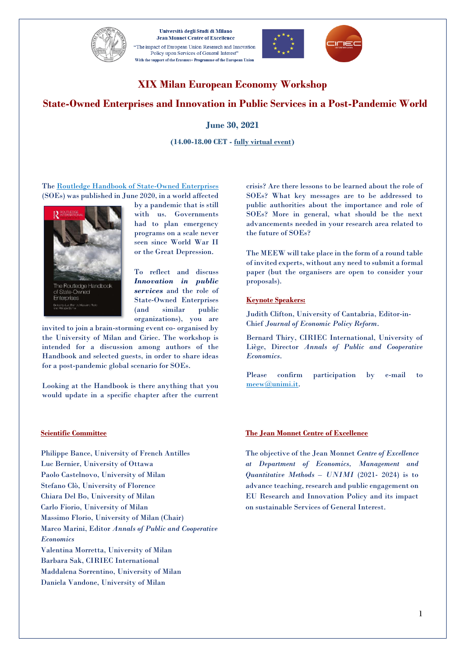

Università degli Studi di Milano **Jean Monnet Centre of Excellence** The impact of European Union Research and Innovation<sup>\*</sup> Policy upon Services of General Interest" With the support of the Erasmus+ Programme of the European Union





# **XIX Milan European Economy Workshop**

# **State-Owned Enterprises and Innovation in Public Services in a Post-Pandemic World**

**June 30, 2021**

**(14.00-18.00 CET - fully virtual event)**

Th[e Routledge Handbook of State-Owned Enterprises](http://www.ciriec.uliege.be/en/publications/ouvrages/the-routledge-handbook-of-state-owned-enterprises-luc-bernier-massimo-florio-philippe-bance-ed-routledge-2020/) (SOEs) was published in June 2020, in a world affected



by a pandemic that is still with us. Governments had to plan emergency programs on a scale never seen since World War II or the Great Depression.

To reflect and discuss *Innovation in public services* and the role of State-Owned Enterprises (and similar public organizations), you are

invited to join a brain-storming event co- organised by the University of Milan and Ciriec. The workshop is intended for a discussion among authors of the Handbook and selected guests, in order to share ideas for a post-pandemic global scenario for SOEs.

Looking at the Handbook is there anything that you would update in a specific chapter after the current

**Scientific Committee**

Philippe Bance, University of French Antilles Luc Bernier, University of Ottawa Paolo Castelnovo, University of Milan Stefano Clò, University of Florence Chiara Del Bo, University of Milan Carlo Fiorio, University of Milan Massimo Florio, University of Milan (Chair) Marco Marini, Editor *Annals of Public and Cooperative Economics*  Valentina Morretta, University of Milan Barbara Sak, CIRIEC International Maddalena Sorrentino, University of Milan Daniela Vandone, University of Milan

crisis? Are there lessons to be learned about the role of SOEs? What key messages are to be addressed to public authorities about the importance and role of SOEs? More in general, what should be the next advancements needed in your research area related to the future of SOEs?

The MEEW will take place in the form of a round table of invited experts, without any need to submit a formal paper (but the organisers are open to consider your proposals).

#### **Keynote Speakers:**

Judith Clifton, University of Cantabria, Editor-in-Chief *Journal of Economic Policy Reform*.

Bernard Thiry, CIRIEC International, University of Liège, Director *Annals of Public and Cooperative Economics*.

Please confirm participation by e-mail to [meew@unimi.it.](mailto:meew@unimi.it)

### **The Jean Monnet Centre of Excellence**

The objective of the Jean Monnet *Centre of Excellence at Department of Economics, Management and Quantitative Methods – UNIMI* (2021- 2024) is to advance teaching, research and public engagement on EU Research and Innovation Policy and its impact on sustainable Services of General Interest.